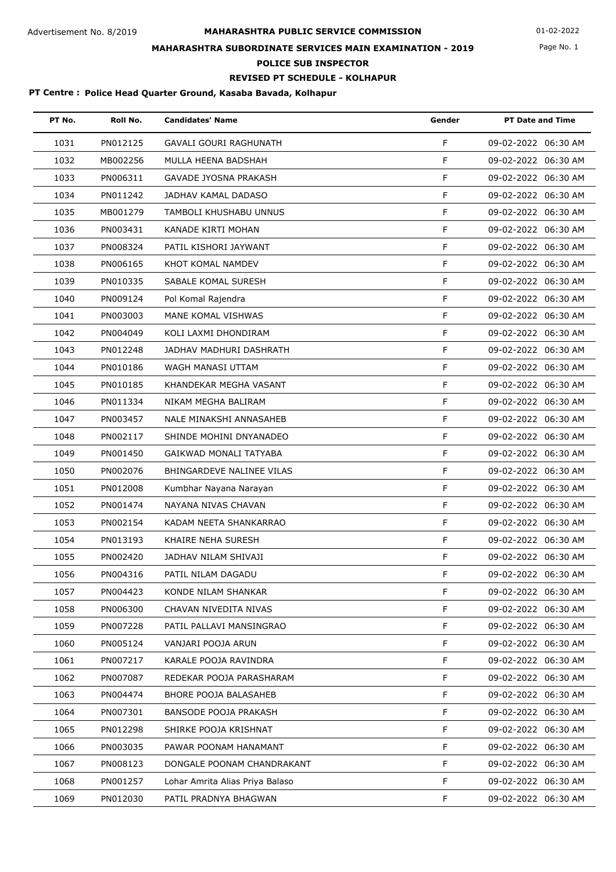# **MAHARASHTRA PUBLIC SERVICE COMMISSION** Advertisement No. 8/2019 01-02-2022 **MAHARASHTRA SUBORDINATE SERVICES MAIN EXAMINATION - 2019**

### Page No. 1

**POLICE SUB INSPECTOR**

#### **REVISED PT SCHEDULE - KOLHAPUR**

#### **PT Centre : Police Head Quarter Ground, Kasaba Bavada, Kolhapur**

| PT No. | Roll No. | <b>Candidates' Name</b>         | Gender | <b>PT Date and Time</b> |
|--------|----------|---------------------------------|--------|-------------------------|
| 1031   | PN012125 | GAVALI GOURI RAGHUNATH          | F      | 09-02-2022 06:30 AM     |
| 1032   | MB002256 | MULLA HEENA BADSHAH             | F      | 09-02-2022 06:30 AM     |
| 1033   | PN006311 | GAVADE JYOSNA PRAKASH           | F      | 09-02-2022 06:30 AM     |
| 1034   | PN011242 | JADHAV KAMAL DADASO             | F      | 09-02-2022 06:30 AM     |
| 1035   | MB001279 | TAMBOLI KHUSHABU UNNUS          | F      | 09-02-2022 06:30 AM     |
| 1036   | PN003431 | KANADE KIRTI MOHAN              | F.     | 09-02-2022 06:30 AM     |
| 1037   | PN008324 | PATIL KISHORI JAYWANT           | F      | 09-02-2022 06:30 AM     |
| 1038   | PN006165 | KHOT KOMAL NAMDEV               | F      | 09-02-2022 06:30 AM     |
| 1039   | PN010335 | SABALE KOMAL SURESH             | F      | 09-02-2022 06:30 AM     |
| 1040   | PN009124 | Pol Komal Rajendra              | F      | 09-02-2022 06:30 AM     |
| 1041   | PN003003 | MANE KOMAL VISHWAS              | F      | 09-02-2022 06:30 AM     |
| 1042   | PN004049 | KOLI LAXMI DHONDIRAM            | F      | 09-02-2022 06:30 AM     |
| 1043   | PN012248 | JADHAV MADHURI DASHRATH         | F      | 09-02-2022 06:30 AM     |
| 1044   | PN010186 | WAGH MANASI UTTAM               | F      | 09-02-2022 06:30 AM     |
| 1045   | PN010185 | KHANDEKAR MEGHA VASANT          | F      | 09-02-2022 06:30 AM     |
| 1046   | PN011334 | NIKAM MEGHA BALIRAM             | F      | 09-02-2022 06:30 AM     |
| 1047   | PN003457 | NALE MINAKSHI ANNASAHEB         | F      | 09-02-2022 06:30 AM     |
| 1048   | PN002117 | SHINDE MOHINI DNYANADEO         | F      | 09-02-2022 06:30 AM     |
| 1049   | PN001450 | GAIKWAD MONALI TATYABA          | F.     | 09-02-2022 06:30 AM     |
| 1050   | PN002076 | BHINGARDEVE NALINEE VILAS       | F      | 09-02-2022 06:30 AM     |
| 1051   | PN012008 | Kumbhar Nayana Narayan          | F      | 09-02-2022 06:30 AM     |
| 1052   | PN001474 | NAYANA NIVAS CHAVAN             | F      | 09-02-2022 06:30 AM     |
| 1053   | PN002154 | KADAM NEETA SHANKARRAO          | F      | 09-02-2022 06:30 AM     |
| 1054   | PN013193 | KHAIRE NEHA SURESH              | F      | 09-02-2022 06:30 AM     |
| 1055   | PN002420 | JADHAV NILAM SHIVAJI            | F      | 09-02-2022 06:30 AM     |
| 1056   | PN004316 | PATIL NILAM DAGADU              | F      | 09-02-2022 06:30 AM     |
| 1057   | PN004423 | KONDE NILAM SHANKAR             | F.     | 09-02-2022 06:30 AM     |
| 1058   | PN006300 | CHAVAN NIVEDITA NIVAS           | F.     | 09-02-2022 06:30 AM     |
| 1059   | PN007228 | PATIL PALLAVI MANSINGRAO        | F      | 09-02-2022 06:30 AM     |
| 1060   | PN005124 | VANJARI POOJA ARUN              | F      | 09-02-2022 06:30 AM     |
| 1061   | PN007217 | KARALE POOJA RAVINDRA           | F      | 09-02-2022 06:30 AM     |
| 1062   | PN007087 | REDEKAR POOJA PARASHARAM        | F      | 09-02-2022 06:30 AM     |
| 1063   | PN004474 | BHORE POOJA BALASAHEB           | F      | 09-02-2022 06:30 AM     |
| 1064   | PN007301 | BANSODE POOJA PRAKASH           | F      | 09-02-2022 06:30 AM     |
| 1065   | PN012298 | SHIRKE POOJA KRISHNAT           | F.     | 09-02-2022 06:30 AM     |
| 1066   | PN003035 | PAWAR POONAM HANAMANT           | F      | 09-02-2022 06:30 AM     |
| 1067   | PN008123 | DONGALE POONAM CHANDRAKANT      | F      | 09-02-2022 06:30 AM     |
| 1068   | PN001257 | Lohar Amrita Alias Priya Balaso | F      | 09-02-2022 06:30 AM     |
| 1069   | PN012030 | PATIL PRADNYA BHAGWAN           | F.     | 09-02-2022 06:30 AM     |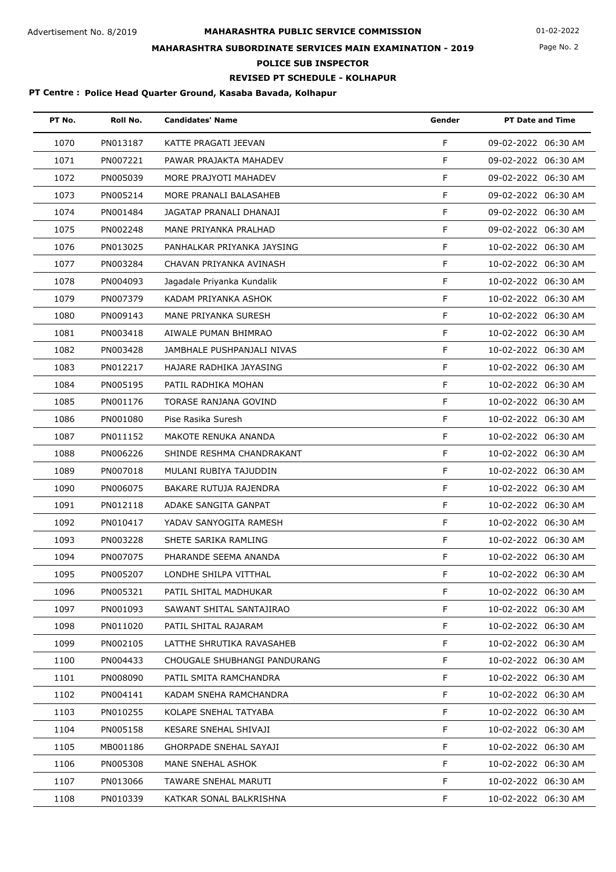#### **MAHARASHTRA PUBLIC SERVICE COMMISSION** Advertisement No. 8/2019 01-02-2022

## **MAHARASHTRA SUBORDINATE SERVICES MAIN EXAMINATION - 2019**

**POLICE SUB INSPECTOR**

### **REVISED PT SCHEDULE - KOLHAPUR**

#### **PT Centre : Police Head Quarter Ground, Kasaba Bavada, Kolhapur**

| PT No. | Roll No. | <b>Candidates' Name</b>       | Gender | <b>PT Date and Time</b> |
|--------|----------|-------------------------------|--------|-------------------------|
| 1070   | PN013187 | KATTE PRAGATI JEEVAN          | F      | 09-02-2022 06:30 AM     |
| 1071   | PN007221 | PAWAR PRAJAKTA MAHADEV        | F      | 09-02-2022 06:30 AM     |
| 1072   | PN005039 | MORE PRAJYOTI MAHADEV         | F      | 09-02-2022 06:30 AM     |
| 1073   | PN005214 | MORE PRANALI BALASAHEB        | F      | 09-02-2022 06:30 AM     |
| 1074   | PN001484 | JAGATAP PRANALI DHANAJI       | F      | 09-02-2022 06:30 AM     |
| 1075   | PN002248 | MANE PRIYANKA PRALHAD         | F      | 09-02-2022 06:30 AM     |
| 1076   | PN013025 | PANHALKAR PRIYANKA JAYSING    | F      | 10-02-2022 06:30 AM     |
| 1077   | PN003284 | CHAVAN PRIYANKA AVINASH       | F      | 10-02-2022 06:30 AM     |
| 1078   | PN004093 | Jagadale Priyanka Kundalik    | F      | 10-02-2022 06:30 AM     |
| 1079   | PN007379 | KADAM PRIYANKA ASHOK          | F      | 10-02-2022 06:30 AM     |
| 1080   | PN009143 | MANE PRIYANKA SURESH          | F      | 10-02-2022 06:30 AM     |
| 1081   | PN003418 | AIWALE PUMAN BHIMRAO          | F      | 10-02-2022 06:30 AM     |
| 1082   | PN003428 | JAMBHALE PUSHPANJALI NIVAS    | F      | 10-02-2022 06:30 AM     |
| 1083   | PN012217 | HAJARE RADHIKA JAYASING       | F      | 10-02-2022 06:30 AM     |
| 1084   | PN005195 | PATIL RADHIKA MOHAN           | F      | 10-02-2022 06:30 AM     |
| 1085   | PN001176 | TORASE RANJANA GOVIND         | F      | 10-02-2022 06:30 AM     |
| 1086   | PN001080 | Pise Rasika Suresh            | F      | 10-02-2022 06:30 AM     |
| 1087   | PN011152 | MAKOTE RENUKA ANANDA          | F      | 10-02-2022 06:30 AM     |
| 1088   | PN006226 | SHINDE RESHMA CHANDRAKANT     | F      | 10-02-2022 06:30 AM     |
| 1089   | PN007018 | MULANI RUBIYA TAJUDDIN        | F      | 10-02-2022 06:30 AM     |
| 1090   | PN006075 | BAKARE RUTUJA RAJENDRA        | F      | 10-02-2022 06:30 AM     |
| 1091   | PN012118 | ADAKE SANGITA GANPAT          | F      | 10-02-2022 06:30 AM     |
| 1092   | PN010417 | YADAV SANYOGITA RAMESH        | F      | 10-02-2022 06:30 AM     |
| 1093   | PN003228 | SHETE SARIKA RAMLING          | F      | 10-02-2022 06:30 AM     |
| 1094   | PN007075 | PHARANDE SEEMA ANANDA         | F      | 10-02-2022 06:30 AM     |
| 1095   | PN005207 | LONDHE SHILPA VITTHAL         | F.     | 10-02-2022 06:30 AM     |
| 1096   | PN005321 | PATIL SHITAL MADHUKAR         | F.     | 10-02-2022 06:30 AM     |
| 1097   | PN001093 | SAWANT SHITAL SANTAJIRAO      | F.     | 10-02-2022 06:30 AM     |
| 1098   | PN011020 | PATIL SHITAL RAJARAM          | F.     | 10-02-2022 06:30 AM     |
| 1099   | PN002105 | LATTHE SHRUTIKA RAVASAHEB     | F.     | 10-02-2022 06:30 AM     |
| 1100   | PN004433 | CHOUGALE SHUBHANGI PANDURANG  | F.     | 10-02-2022 06:30 AM     |
| 1101   | PN008090 | PATIL SMITA RAMCHANDRA        | F.     | 10-02-2022 06:30 AM     |
| 1102   | PN004141 | KADAM SNEHA RAMCHANDRA        | F.     | 10-02-2022 06:30 AM     |
| 1103   | PN010255 | KOLAPE SNEHAL TATYABA         | F.     | 10-02-2022 06:30 AM     |
| 1104   | PN005158 | KESARE SNEHAL SHIVAJI         | F.     | 10-02-2022 06:30 AM     |
| 1105   | MB001186 | <b>GHORPADE SNEHAL SAYAJI</b> | F.     | 10-02-2022 06:30 AM     |
| 1106   | PN005308 | MANE SNEHAL ASHOK             | F.     | 10-02-2022 06:30 AM     |
| 1107   | PN013066 | TAWARE SNEHAL MARUTI          | F.     | 10-02-2022 06:30 AM     |
| 1108   | PN010339 | KATKAR SONAL BALKRISHNA       | F.     | 10-02-2022 06:30 AM     |